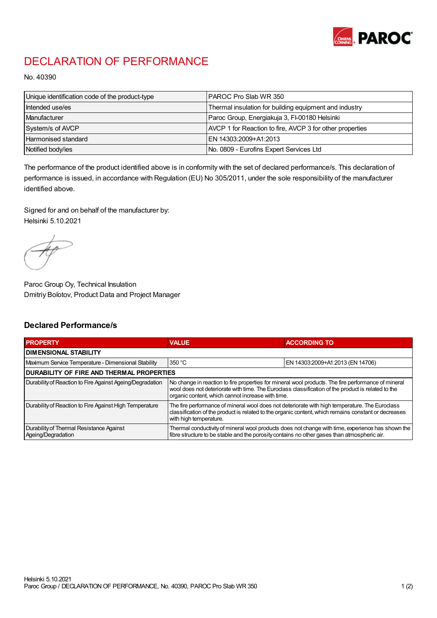

## DECLARATION OF PERFORMANCE

No. 40390

| Unique identification code of the product-type | IPAROC Pro Slab WR 350                                   |
|------------------------------------------------|----------------------------------------------------------|
| Intended use/es                                | Thermal insulation for building equipment and industry   |
| Manufacturer                                   | Paroc Group, Energiakuja 3, FI-00180 Helsinki            |
| System/s of AVCP                               | AVCP 1 for Reaction to fire, AVCP 3 for other properties |
| Harmonised standard                            | IEN 14303:2009+A1:2013                                   |
| Notified body/ies                              | No. 0809 - Eurofins Expert Services Ltd                  |

The performance of the product identified above is in conformity with the set of declared performance/s. This declaration of performance is issued, in accordance with Regulation (EU) No 305/2011, under the sole responsibility of the manufacturer identified above.

Signed for and on behalf of the manufacturer by: Helsinki 5.10.2021

Paroc Group Oy, Technical Insulation Dmitriy Bolotov, Product Data and Project Manager

## Declared Performance/s

| <b>PROPERTY</b>                                                | <b>VALUE</b>                                                                                                                                                                                                                                                   | <b>ACCORDING TO.</b>             |  |
|----------------------------------------------------------------|----------------------------------------------------------------------------------------------------------------------------------------------------------------------------------------------------------------------------------------------------------------|----------------------------------|--|
| <b>DIMENSIONAL STABILITY</b>                                   |                                                                                                                                                                                                                                                                |                                  |  |
| Maximum Service Temperature - Dimensional Stability            | 350 °C                                                                                                                                                                                                                                                         | EN 14303:2009+A1:2013 (EN 14706) |  |
| <b>DURABILITY OF FIRE AND THERMAL PROPERTIES</b>               |                                                                                                                                                                                                                                                                |                                  |  |
| Durability of Reaction to Fire Against Ageing/Degradation      | No change in reaction to fire properties for mineral wool products. The fire performance of mineral<br>wool does not deteriorate with time. The Euroclass classification of the product is related to the<br>organic content, which cannot increase with time. |                                  |  |
| Durability of Reaction to Fire Against High Temperature        | The fire performance of mineral wool does not deteriorate with high temperature. The Euroclass<br>classification of the product is related to the organic content, which remains constant or decreases<br>with high temperature.                               |                                  |  |
| Durability of Thermal Resistance Against<br>Ageing/Degradation | Thermal conductivity of mineral wool products does not change with time, experience has shown the<br>fibre structure to be stable and the porosity contains no other gases than atmospheric air.                                                               |                                  |  |